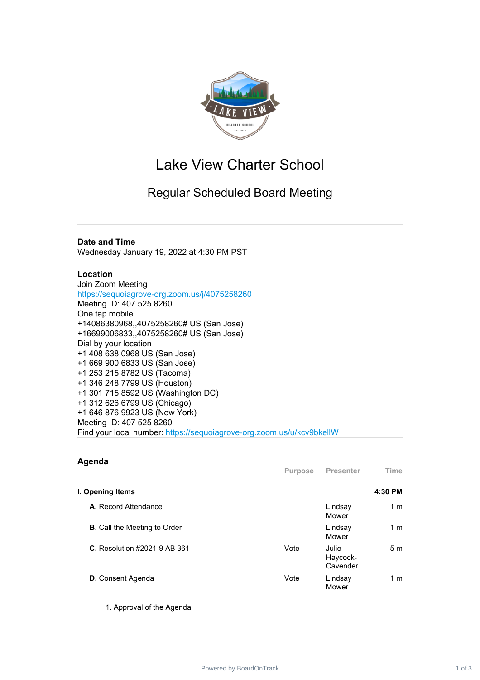

# Lake View Charter School

# Regular Scheduled Board Meeting

## **Date and Time**

Wednesday January 19, 2022 at 4:30 PM PST

### **Location**

Join Zoom Meeting <https://sequoiagrove-org.zoom.us/j/4075258260> Meeting ID: 407 525 8260 One tap mobile +14086380968,,4075258260# US (San Jose) +16699006833,,4075258260# US (San Jose) Dial by your location +1 408 638 0968 US (San Jose) +1 669 900 6833 US (San Jose) +1 253 215 8782 US (Tacoma) +1 346 248 7799 US (Houston) +1 301 715 8592 US (Washington DC) +1 312 626 6799 US (Chicago) +1 646 876 9923 US (New York) Meeting ID: 407 525 8260 Find your local number: https://sequoiagrove-org.zoom.us/u/kcv9bkellW

### **Agenda**

|                                     | <b>Purpose</b> | Presenter                     | Time           |
|-------------------------------------|----------------|-------------------------------|----------------|
| I. Opening Items                    |                |                               | 4:30 PM        |
| A. Record Attendance                |                | Lindsay<br>Mower              | 1 m            |
| <b>B.</b> Call the Meeting to Order |                | Lindsay<br>Mower              | 1 m            |
| <b>C.</b> Resolution #2021-9 AB 361 | Vote           | Julie<br>Haycock-<br>Cavender | 5 <sub>m</sub> |
| <b>D.</b> Consent Agenda            | Vote           | Lindsay<br>Mower              | 1 m            |

1. Approval of the Agenda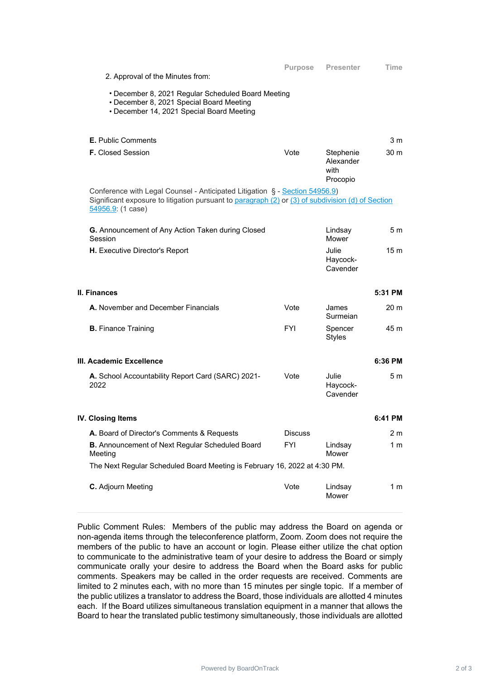| 2. Approval of the Minutes from:                                                                                                                                                                      | <b>Purpose</b> | <b>Presenter</b>                           | Time            |
|-------------------------------------------------------------------------------------------------------------------------------------------------------------------------------------------------------|----------------|--------------------------------------------|-----------------|
|                                                                                                                                                                                                       |                |                                            |                 |
| • December 8, 2021 Regular Scheduled Board Meeting<br>• December 8, 2021 Special Board Meeting<br>• December 14, 2021 Special Board Meeting                                                           |                |                                            |                 |
|                                                                                                                                                                                                       |                |                                            |                 |
| <b>E.</b> Public Comments                                                                                                                                                                             |                |                                            | 3 <sub>m</sub>  |
| <b>F.</b> Closed Session                                                                                                                                                                              | Vote           | Stephenie<br>Alexander<br>with<br>Procopio | 30 <sub>m</sub> |
| Conference with Legal Counsel - Anticipated Litigation § - Section 54956.9)<br>Significant exposure to litigation pursuant to paragraph (2) or (3) of subdivision (d) of Section<br>54956.9: (1 case) |                |                                            |                 |
| G. Announcement of Any Action Taken during Closed<br>Session                                                                                                                                          |                | Lindsay<br>Mower                           | 5 <sub>m</sub>  |
| H. Executive Director's Report                                                                                                                                                                        |                | Julie<br>Haycock-<br>Cavender              | 15 <sub>m</sub> |
|                                                                                                                                                                                                       |                |                                            |                 |
| II. Finances                                                                                                                                                                                          |                |                                            | 5:31 PM         |
| A. November and December Financials                                                                                                                                                                   | Vote           | James<br>Surmeian                          | 20 <sub>m</sub> |
| <b>B.</b> Finance Training                                                                                                                                                                            | <b>FYI</b>     | Spencer<br><b>Styles</b>                   | 45 m            |
| III. Academic Excellence                                                                                                                                                                              |                |                                            | 6:36 PM         |
| A. School Accountability Report Card (SARC) 2021-<br>2022                                                                                                                                             | Vote           | Julie<br>Haycock-<br>Cavender              | 5 m             |
| <b>IV. Closing Items</b>                                                                                                                                                                              |                |                                            | 6:41 PM         |
| A. Board of Director's Comments & Requests                                                                                                                                                            | <b>Discuss</b> |                                            | 2 m             |
| <b>B.</b> Announcement of Next Regular Scheduled Board<br>Meeting                                                                                                                                     | <b>FYI</b>     | Lindsay<br>Mower                           | 1 <sub>m</sub>  |
| The Next Regular Scheduled Board Meeting is February 16, 2022 at 4:30 PM.                                                                                                                             |                |                                            |                 |

Public Comment Rules: Members of the public may address the Board on agenda or non-agenda items through the teleconference platform, Zoom. Zoom does not require the members of the public to have an account or login. Please either utilize the chat option to communicate to the administrative team of your desire to address the Board or simply communicate orally your desire to address the Board when the Board asks for public comments. Speakers may be called in the order requests are received. Comments are limited to 2 minutes each, with no more than 15 minutes per single topic. If a member of the public utilizes a translator to address the Board, those individuals are allotted 4 minutes each. If the Board utilizes simultaneous translation equipment in a manner that allows the Board to hear the translated public testimony simultaneously, those individuals are allotted